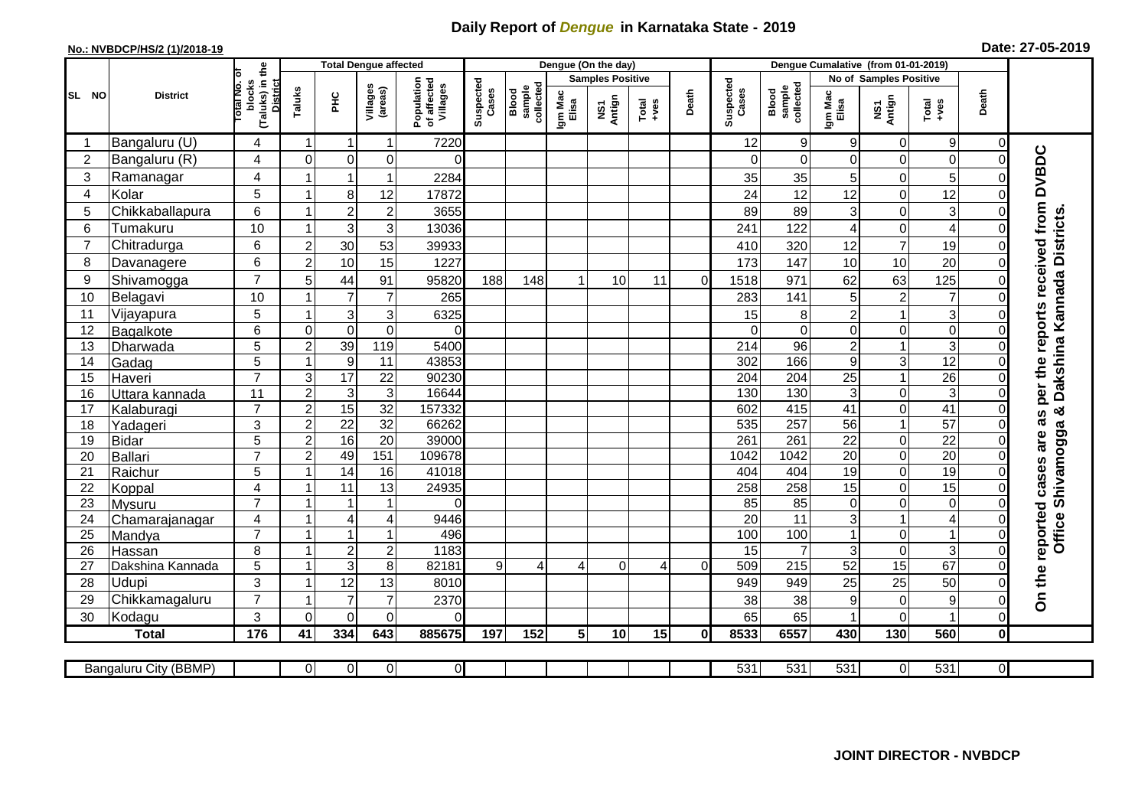## **Daily Report of** *Dengue* **in Karnataka State - 2019**

## **No.: NVBDCP/HS/2 (1)/2018-19 Date: 27-05-2019**

|                                                                                                                                                  |                          |                                                              |                |                                  | <b>Total Dengue affected</b> |                                       |                    |                              |                         | Dengue (On the day) |         |          |                    |                              |                               |                 |                                          |                            |                                                                       |
|--------------------------------------------------------------------------------------------------------------------------------------------------|--------------------------|--------------------------------------------------------------|----------------|----------------------------------|------------------------------|---------------------------------------|--------------------|------------------------------|-------------------------|---------------------|---------|----------|--------------------|------------------------------|-------------------------------|-----------------|------------------------------------------|----------------------------|-----------------------------------------------------------------------|
|                                                                                                                                                  | <b>District</b>          |                                                              |                |                                  |                              |                                       |                    |                              | <b>Samples Positive</b> |                     |         |          |                    |                              | <b>No of Samples Positive</b> |                 |                                          |                            |                                                                       |
| SL NO                                                                                                                                            |                          | (Taluks) in the<br>lotal No. of<br>blocks<br><b>District</b> | Taluks         | Ξ                                | Villages<br>(areas)          | Population<br>of affected<br>Villages | Suspected<br>Cases | sample<br>collected<br>Blood | Igm Mac<br>Elisa        | NS1<br>Antign       | $Total$ | Death    | Suspected<br>Cases | collected<br>sample<br>Blood | Igm Mac<br>Elisa              | NS1<br>Antign   | Total<br>$+ve$ s                         | Death                      |                                                                       |
|                                                                                                                                                  | Bangaluru (U)            | 4                                                            | -1             | -1                               | 1                            | 7220                                  |                    |                              |                         |                     |         |          | 12                 | $\mathsf g$                  | 9                             | 0               | $\boldsymbol{9}$                         | $\mathbf 0$                |                                                                       |
| $\overline{2}$                                                                                                                                   | Bangaluru (R)            | 4                                                            | $\mathbf 0$    | $\mathbf 0$                      | 0                            | $\Omega$                              |                    |                              |                         |                     |         |          | $\Omega$           | $\mathbf 0$                  | 0                             | 0               | $\mathsf{O}\xspace$                      | $\mathbf 0$                |                                                                       |
| $\sqrt{3}$                                                                                                                                       | Ramanagar                | $\overline{4}$                                               |                | 1                                | 1                            | 2284                                  |                    |                              |                         |                     |         |          | 35                 | 35                           | 5                             | 0               | 5                                        | $\Omega$                   |                                                                       |
| 4                                                                                                                                                | Kolar                    | 5                                                            |                | 8                                | 12                           | 17872                                 |                    |                              |                         |                     |         |          | 24                 | 12                           | 12                            | 0               | 12                                       | $\mathbf 0$                |                                                                       |
| 5                                                                                                                                                | Chikkaballapura          | $6\phantom{1}$                                               |                | $\overline{c}$                   | $\overline{\mathbf{c}}$      | 3655                                  |                    |                              |                         |                     |         |          | 89                 | 89                           | 3                             | $\mathbf 0$     | $\overline{3}$                           | $\Omega$                   |                                                                       |
| 6                                                                                                                                                | Tumakuru                 | 10                                                           |                | 3                                | 3                            | 13036                                 |                    |                              |                         |                     |         |          | 241                | 122                          | 4                             | 0               | $\overline{\mathbf{4}}$                  | 0                          |                                                                       |
| $\overline{7}$                                                                                                                                   | Chitradurga              | 6                                                            | $\overline{2}$ | 30                               | 53                           | 39933                                 |                    |                              |                         |                     |         |          | 410                | 320                          | 12                            | $\overline{7}$  | 19                                       | $\mathbf 0$                |                                                                       |
| 8                                                                                                                                                | Davanagere               | $6\phantom{1}$                                               | $\overline{2}$ | 10                               | 15                           | 1227                                  |                    |                              |                         |                     |         |          | 173                | 147                          | 10                            | 10              | 20                                       | $\mathbf 0$                |                                                                       |
| 9                                                                                                                                                | Shivamogga               | $\overline{7}$                                               | 5              | 44                               | 91                           | 95820                                 | 188                | 148                          |                         | 10                  | 11      | $\Omega$ | 1518               | 971                          | 62                            | 63              | 125                                      | $\Omega$                   | as per the reports received from DVBDC<br>Dakshina Kannada Districts. |
| 10                                                                                                                                               | Belagavi                 | 10                                                           |                | $\overline{7}$                   | $\overline{7}$               | 265                                   |                    |                              |                         |                     |         |          | 283                | 141                          | 5                             | $\sqrt{2}$      | $\overline{7}$                           | $\Omega$                   |                                                                       |
| 11                                                                                                                                               | Vijayapura               | 5                                                            |                | $\mathbf{3}$                     | 3                            | 6325                                  |                    |                              |                         |                     |         |          | 15                 | 8                            | $\overline{c}$                | 1               | ვ                                        | $\Omega$                   |                                                                       |
| 12                                                                                                                                               | Bagalkote                | $6\phantom{1}$                                               | $\mathbf 0$    | $\mathbf 0$                      | $\mathbf 0$                  | $\Omega$                              |                    |                              |                         |                     |         |          | $\Omega$           | $\mathbf 0$                  | $\mathbf 0$                   | 0               | $\overline{0}$                           | $\Omega$                   |                                                                       |
| 13                                                                                                                                               | Dharwada                 | $\overline{5}$                                               | $\overline{2}$ | 39                               | 119                          | 5400                                  |                    |                              |                         |                     |         |          | $\overline{214}$   | $\overline{96}$              | $\overline{c}$                | 1               | $\overline{3}$                           | $\mathbf 0$                |                                                                       |
| 14                                                                                                                                               | Gadag                    | $\overline{5}$                                               | $\overline{1}$ | $\boldsymbol{9}$                 | 11                           | 43853                                 |                    |                              |                         |                     |         |          | 302                | 166                          | 9                             | 3               | 12                                       | $\mathbf 0$                |                                                                       |
| 15                                                                                                                                               | Haveri                   | $\overline{7}$                                               | 3              | $\overline{17}$                  | $\overline{22}$              | 90230                                 |                    |                              |                         |                     |         |          | 204                | 204                          | 25                            | $\mathbf{1}$    | $\overline{26}$                          | 0                          |                                                                       |
| 16                                                                                                                                               | Uttara kannada           | 11                                                           | $\overline{2}$ | $\sqrt{3}$                       | 3                            | 16644                                 |                    |                              |                         |                     |         |          | 130                | 130                          | 3                             | 0               | ω                                        | $\mathbf 0$                |                                                                       |
| 17                                                                                                                                               | Kalaburagi               | $\overline{7}$                                               | $\overline{2}$ | 15                               | 32                           | 157332                                |                    |                              |                         |                     |         |          | 602                | 415                          | 41                            | $\overline{0}$  | 41                                       | $\overline{0}$             | න්                                                                    |
| 18                                                                                                                                               | Yadageri                 | 3                                                            | $\overline{2}$ | 22                               | 32                           | 66262                                 |                    |                              |                         |                     |         |          | 535                | 257                          | 56                            | $\mathbf{1}$    | 57                                       | $\Omega$                   |                                                                       |
| 19                                                                                                                                               | Bidar                    | $\overline{5}$                                               | $\overline{2}$ | 16                               | $\overline{20}$              | 39000                                 |                    |                              |                         |                     |         |          | 261                | 261                          | $\overline{22}$               | 0               | $\overline{22}$                          | $\mathbf 0$                | are                                                                   |
| 20                                                                                                                                               | Ballari                  | $\overline{7}$                                               | $\overline{2}$ | 49                               | 151                          | 109678                                |                    |                              |                         |                     |         |          | 1042               | 1042                         | 20                            | 0               | $\overline{20}$                          | 0                          |                                                                       |
| 21                                                                                                                                               | Raichur                  | 5                                                            |                | $\overline{14}$                  | $\overline{16}$              | 41018                                 |                    |                              |                         |                     |         |          | 404                | 404                          | $\overline{19}$               | 0               | 19                                       | $\Omega$                   | Shivamogga<br>reported cases                                          |
| 22                                                                                                                                               | Koppal                   | $\overline{\mathbf{4}}$                                      |                | 11                               | 13                           | 24935                                 |                    |                              |                         |                     |         |          | 258                | 258                          | 15                            | 0               | $\overline{15}$                          | $\Omega$                   |                                                                       |
| 23                                                                                                                                               | Mysuru                   | $\overline{7}$                                               |                |                                  | $\overline{1}$               | $\Omega$                              |                    |                              |                         |                     |         |          | 85                 | $\overline{85}$              | $\mathbf 0$                   | $\mathbf 0$     | $\overline{\mathsf{o}}$                  | $\mathbf 0$                |                                                                       |
| 24                                                                                                                                               | Chamarajanagar           | 4                                                            | -1             | $\overline{4}$<br>$\overline{ }$ | 4                            | 9446                                  |                    |                              |                         |                     |         |          | $\overline{20}$    | 11                           | 3                             | 1               | $\overline{4}$                           | $\mathbf 0$                | Office                                                                |
| 25                                                                                                                                               | Mandya                   | $\overline{7}$                                               |                |                                  | 1                            | 496                                   |                    |                              |                         |                     |         |          | 100                | 100                          |                               | 0               | $\mathbf{1}$                             | $\mathbf 0$                |                                                                       |
| 26                                                                                                                                               | Hassan                   | 8                                                            | -1<br>-1       | $\boldsymbol{2}$                 | $\overline{c}$               | 1183                                  |                    |                              |                         |                     |         |          | 15                 | $\overline{7}$               | 3                             | 0               | ω                                        | $\mathbf 0$                |                                                                       |
| 27<br>28                                                                                                                                         | Dakshina Kannada         | 5<br>3                                                       |                | $\overline{3}$                   | 8                            | 82181                                 | 9                  | $\overline{4}$               | 4                       | $\Omega$            | 4       | $\Omega$ | 509                | 215                          | 52                            | $\overline{15}$ | 67                                       | $\Omega$<br>$\Omega$       | On the                                                                |
| 29                                                                                                                                               | <b>Udupi</b>             | $\overline{7}$                                               |                | 12<br>$\overline{7}$             | 13<br>$\overline{7}$         | 8010                                  |                    |                              |                         |                     |         |          | 949                | 949                          | 25                            | 25              | 50                                       |                            |                                                                       |
| 30                                                                                                                                               | Chikkamagaluru<br>Kodagu | 3                                                            | $\Omega$       | $\overline{0}$                   | 0                            | 2370<br>$\Omega$                      |                    |                              |                         |                     |         |          | 38<br>65           | 38<br>65                     | 9                             | 0<br>0          | $\boldsymbol{9}$<br>$\blacktriangleleft$ | $\mathbf 0$<br>$\mathbf 0$ |                                                                       |
|                                                                                                                                                  |                          | $\frac{1}{176}$                                              | 41             | 334                              | 643                          | 885675                                | 197                | 152                          | 5 <sup>1</sup>          | 10                  | 15      | 0I       | 8533               | 6557                         | 430                           | 130             | 560                                      | $\mathbf 0$                |                                                                       |
|                                                                                                                                                  | <b>Total</b>             |                                                              |                |                                  |                              |                                       |                    |                              |                         |                     |         |          |                    |                              |                               |                 |                                          |                            |                                                                       |
| 531<br>531<br>$\overline{531}$<br>531<br>$\overline{0}$<br>0<br>$\overline{0}$<br>$\overline{0}$<br>$\overline{0}$<br>Bangaluru City (BBMP)<br>0 |                          |                                                              |                |                                  |                              |                                       |                    |                              |                         |                     |         |          |                    |                              |                               |                 |                                          |                            |                                                                       |